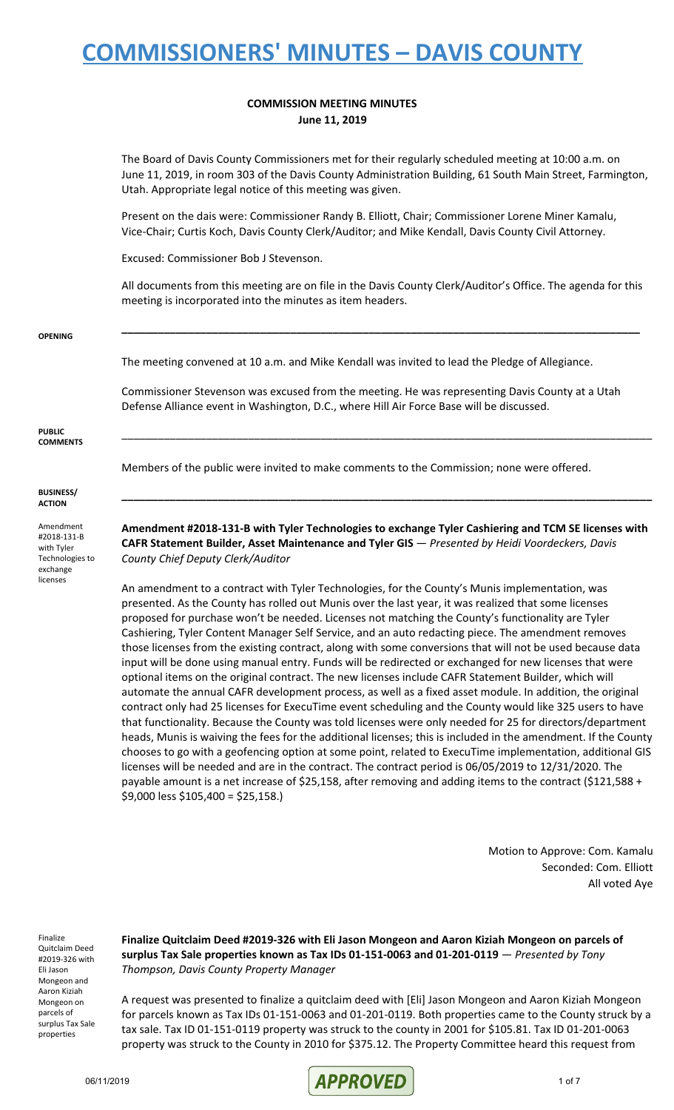### **COMMISSION MEETING MINUTES June 11, 2019**

The Board of Davis County Commissioners met for their regularly scheduled meeting at 10:00 a.m. on June 11, 2019, in room 303 of the Davis County Administration Building, 61 South Main Street, Farmington, Utah. Appropriate legal notice of this meeting was given.

Present on the dais were: Commissioner Randy B. Elliott, Chair; Commissioner Lorene Miner Kamalu, Vice-Chair; Curtis Koch, Davis County Clerk/Auditor; and Mike Kendall, Davis County Civil Attorney.

Excused: Commissioner Bob J Stevenson.

All documents from this meeting are on file in the Davis County Clerk/Auditor's Office. The agenda for this meeting is incorporated into the minutes as item headers.

**\_\_\_\_\_\_\_\_\_\_\_\_\_\_\_\_\_\_\_\_\_\_\_\_\_\_\_\_\_\_\_\_\_\_\_\_\_\_\_\_\_\_\_\_\_\_\_\_\_\_\_\_\_\_\_\_\_\_\_\_\_\_\_\_\_\_\_\_\_\_\_\_\_\_\_\_\_\_\_\_\_\_\_\_\_\_**

**OPENING**

The meeting convened at 10 a.m. and Mike Kendall was invited to lead the Pledge of Allegiance.

Commissioner Stevenson was excused from the meeting. He was representing Davis County at a Utah Defense Alliance event in Washington, D.C., where Hill Air Force Base will be discussed.

**PUBLIC COMMENTS**

Members of the public were invited to make comments to the Commission; none were offered.

**BUSINESS/ ACTION**

Amendment #2018-131-B with Tyler Technologies to exchange licenses

**Amendment #2018-131-B with Tyler Technologies to exchange Tyler Cashiering and TCM SE licenses with CAFR Statement Builder, Asset Maintenance and Tyler GIS** — *Presented by Heidi Voordeckers, Davis County Chief Deputy Clerk/Auditor*

**\_\_\_\_\_\_\_\_\_\_\_\_\_\_\_\_\_\_\_\_\_\_\_\_\_\_\_\_\_\_\_\_\_\_\_\_\_\_\_\_\_\_\_\_\_\_\_\_\_\_\_\_\_\_\_\_\_\_\_\_\_\_\_\_\_\_\_\_\_\_\_\_\_\_\_\_\_\_\_\_\_\_\_\_\_\_\_\_**

\_\_\_\_\_\_\_\_\_\_\_\_\_\_\_\_\_\_\_\_\_\_\_\_\_\_\_\_\_\_\_\_\_\_\_\_\_\_\_\_\_\_\_\_\_\_\_\_\_\_\_\_\_\_\_\_\_\_\_\_\_\_\_\_\_\_\_\_\_\_\_\_\_\_\_\_\_\_\_\_\_\_\_\_\_\_\_\_

An amendment to a contract with Tyler Technologies, for the County's Munis implementation, was presented. As the County has rolled out Munis over the last year, it was realized that some licenses proposed for purchase won't be needed. Licenses not matching the County's functionality are Tyler Cashiering, Tyler Content Manager Self Service, and an auto redacting piece. The amendment removes those licenses from the existing contract, along with some conversions that will not be used because data input will be done using manual entry. Funds will be redirected or exchanged for new licenses that were optional items on the original contract. The new licenses include CAFR Statement Builder, which will automate the annual CAFR development process, as well as a fixed asset module. In addition, the original contract only had 25 licenses for ExecuTime event scheduling and the County would like 325 users to have that functionality. Because the County was told licenses were only needed for 25 for directors/department heads, Munis is waiving the fees for the additional licenses; this is included in the amendment. If the County chooses to go with a geofencing option at some point, related to ExecuTime implementation, additional GIS licenses will be needed and are in the contract. The contract period is 06/05/2019 to 12/31/2020. The payable amount is a net increase of \$25,158, after removing and adding items to the contract (\$121,588 + \$9,000 less \$105,400 = \$25,158.)

> Motion to Approve: Com. Kamalu Seconded: Com. Elliott All voted Aye

Finalize Quitclaim Deed #2019-326 with Eli Jason Mongeon and Aaron Kiziah Mongeon on parcels of surplus Tax Sale properties

**Finalize Quitclaim Deed #2019-326 with Eli Jason Mongeon and Aaron Kiziah Mongeon on parcels of surplus Tax Sale properties known as Tax IDs 01-151-0063 and 01-201-0119** — *Presented by Tony Thompson, Davis County Property Manager*

A request was presented to finalize a quitclaim deed with [Eli] Jason Mongeon and Aaron Kiziah Mongeon for parcels known as Tax IDs 01-151-0063 and 01-201-0119. Both properties came to the County struck by a tax sale. Tax ID 01-151-0119 property was struck to the county in 2001 for \$105.81. Tax ID 01-201-0063 property was struck to the County in 2010 for \$375.12. The Property Committee heard this request from

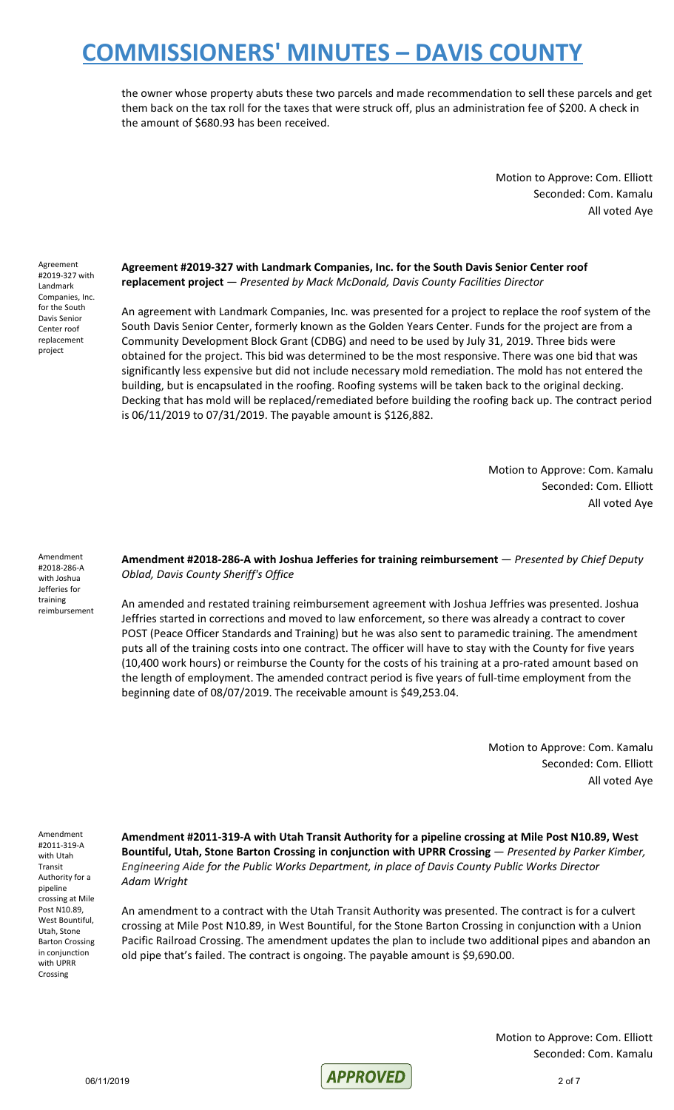the owner whose property abuts these two parcels and made recommendation to sell these parcels and get them back on the tax roll for the taxes that were struck off, plus an administration fee of \$200. A check in the amount of \$680.93 has been received.

> Motion to Approve: Com. Elliott Seconded: Com. Kamalu All voted Aye

Agreement #2019-327 with Landmark Companies, Inc. for the South Davis Senior Center roof replacement project

**Agreement #2019-327 with Landmark Companies, Inc. for the South Davis Senior Center roof replacement project** — *Presented by Mack McDonald, Davis County Facilities Director*

An agreement with Landmark Companies, Inc. was presented for a project to replace the roof system of the South Davis Senior Center, formerly known as the Golden Years Center. Funds for the project are from a Community Development Block Grant (CDBG) and need to be used by July 31, 2019. Three bids were obtained for the project. This bid was determined to be the most responsive. There was one bid that was significantly less expensive but did not include necessary mold remediation. The mold has not entered the building, but is encapsulated in the roofing. Roofing systems will be taken back to the original decking. Decking that has mold will be replaced/remediated before building the roofing back up. The contract period is 06/11/2019 to 07/31/2019. The payable amount is \$126,882.

> Motion to Approve: Com. Kamalu Seconded: Com. Elliott All voted Aye

Amendment #2018-286-A with Joshua Jefferies for training reimbursement **Amendment #2018-286-A with Joshua Jefferies for training reimbursement** — *Presented by Chief Deputy Oblad, Davis County Sheriff's Office*

An amended and restated training reimbursement agreement with Joshua Jeffries was presented. Joshua Jeffries started in corrections and moved to law enforcement, so there was already a contract to cover POST (Peace Officer Standards and Training) but he was also sent to paramedic training. The amendment puts all of the training costs into one contract. The officer will have to stay with the County for five years (10,400 work hours) or reimburse the County for the costs of his training at a pro-rated amount based on the length of employment. The amended contract period is five years of full-time employment from the beginning date of 08/07/2019. The receivable amount is \$49,253.04.

> Motion to Approve: Com. Kamalu Seconded: Com. Elliott All voted Aye

Amendment #2011-319-A with Utah Transit Authority for a pipeline crossing at Mile Post N10.89, West Bountiful, Utah, Stone Barton Crossing in conjunction with UPRR Crossing

**Amendment #2011-319-A with Utah Transit Authority for a pipeline crossing at Mile Post N10.89, West Bountiful, Utah, Stone Barton Crossing in conjunction with UPRR Crossing** — *Presented by Parker Kimber, Engineering Aide for the Public Works Department, in place of Davis County Public Works Director Adam Wright*

An amendment to a contract with the Utah Transit Authority was presented. The contract is for a culvert crossing at Mile Post N10.89, in West Bountiful, for the Stone Barton Crossing in conjunction with a Union Pacific Railroad Crossing. The amendment updates the plan to include two additional pipes and abandon an old pipe that's failed. The contract is ongoing. The payable amount is \$9,690.00.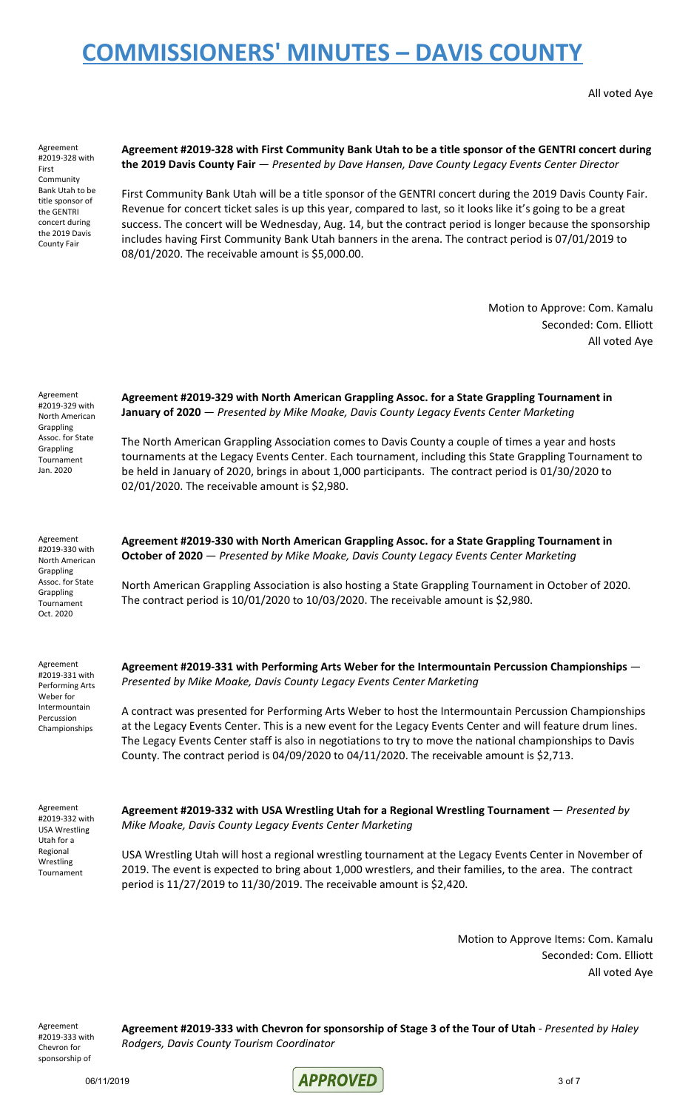All voted Aye

Agreement #2019-328 with First Community Bank Utah to be title sponsor of the GENTRI concert during the 2019 Davis County Fair

### **Agreement #2019-328 with First Community Bank Utah to be a title sponsor of the GENTRI concert during the 2019 Davis County Fair** — *Presented by Dave Hansen, Dave County Legacy Events Center Director*

First Community Bank Utah will be a title sponsor of the GENTRI concert during the 2019 Davis County Fair. Revenue for concert ticket sales is up this year, compared to last, so it looks like it's going to be a great success. The concert will be Wednesday, Aug. 14, but the contract period is longer because the sponsorship includes having First Community Bank Utah banners in the arena. The contract period is 07/01/2019 to 08/01/2020. The receivable amount is \$5,000.00.

> Motion to Approve: Com. Kamalu Seconded: Com. Elliott All voted Aye

| Agreement<br>#2019-329 with<br>North American<br>Grappling<br>Assoc. for State<br>Grappling<br>Tournament<br>Jan. 2020 | Agreement #2019-329 with North American Grappling Assoc. for a State Grappling Tournament in<br>January of 2020 - Presented by Mike Moake, Davis County Legacy Events Center Marketing<br>The North American Grappling Association comes to Davis County a couple of times a year and hosts<br>tournaments at the Legacy Events Center. Each tournament, including this State Grappling Tournament to<br>be held in January of 2020, brings in about 1,000 participants. The contract period is 01/30/2020 to<br>02/01/2020. The receivable amount is \$2,980.                                            |
|------------------------------------------------------------------------------------------------------------------------|-----------------------------------------------------------------------------------------------------------------------------------------------------------------------------------------------------------------------------------------------------------------------------------------------------------------------------------------------------------------------------------------------------------------------------------------------------------------------------------------------------------------------------------------------------------------------------------------------------------|
| Agreement<br>#2019-330 with<br>North American<br>Grappling<br>Assoc. for State<br>Grappling<br>Tournament<br>Oct. 2020 | Agreement #2019-330 with North American Grappling Assoc. for a State Grappling Tournament in<br>October of 2020 - Presented by Mike Moake, Davis County Legacy Events Center Marketing<br>North American Grappling Association is also hosting a State Grappling Tournament in October of 2020.<br>The contract period is $10/01/2020$ to $10/03/2020$ . The receivable amount is \$2,980.                                                                                                                                                                                                                |
| Agreement<br>#2019-331 with<br>Performing Arts<br>Weber for<br>Intermountain<br>Percussion<br>Championships            | Agreement #2019-331 with Performing Arts Weber for the Intermountain Percussion Championships -<br>Presented by Mike Moake, Davis County Legacy Events Center Marketing<br>A contract was presented for Performing Arts Weber to host the Intermountain Percussion Championships<br>at the Legacy Events Center. This is a new event for the Legacy Events Center and will feature drum lines.<br>The Legacy Events Center staff is also in negotiations to try to move the national championships to Davis<br>County. The contract period is 04/09/2020 to 04/11/2020. The receivable amount is \$2,713. |
| Agreement<br>#2019-332 with<br>USA Wrestling<br>Utah for a<br>Regional<br>Wrestling<br>Tournament                      | Agreement #2019-332 with USA Wrestling Utah for a Regional Wrestling Tournament - Presented by<br>Mike Moake, Davis County Legacy Events Center Marketing<br>USA Wrestling Utah will host a regional wrestling tournament at the Legacy Events Center in November of<br>2019. The event is expected to bring about 1,000 wrestlers, and their families, to the area. The contract<br>period is 11/27/2019 to 11/30/2019. The receivable amount is \$2,420.                                                                                                                                                |

Motion to Approve Items: Com. Kamalu Seconded: Com. Elliott All voted Aye

Agreement #2019-333 with Chevron for sponsorship of

**Agreement #2019-333 with Chevron for sponsorship of Stage 3 of the Tour of Utah** - *Presented by Haley Rodgers, Davis County Tourism Coordinator*

06/11/2019 3 of 7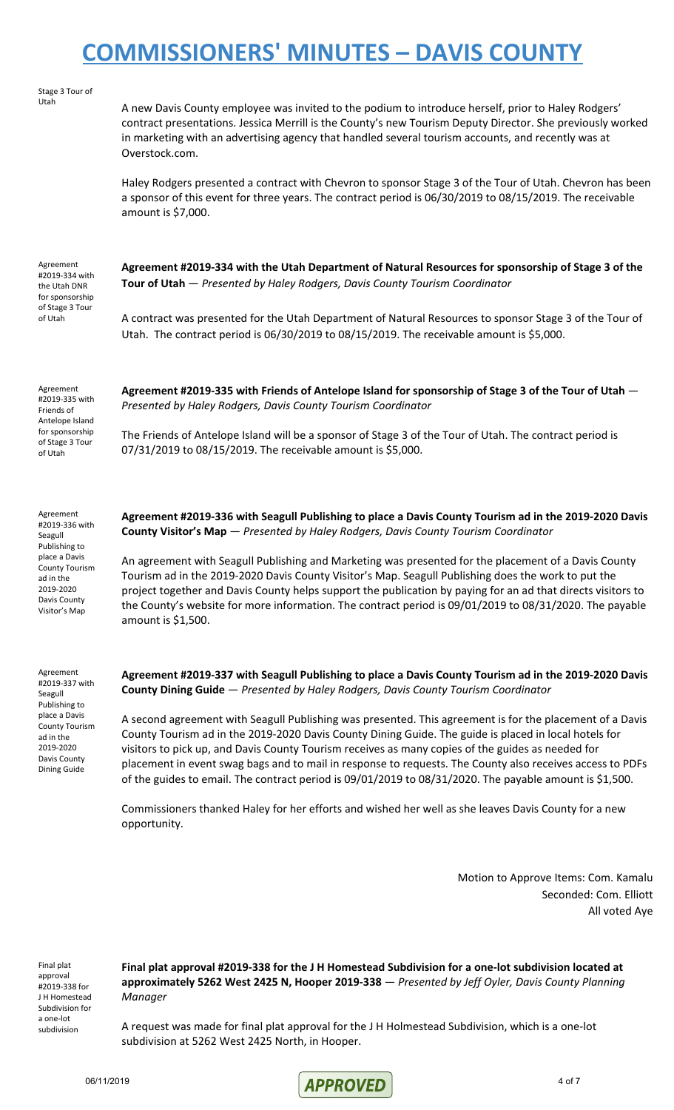| Agreement<br>$\frac{1}{2}$                                                                                                                                   | Agreement #2019-337 with Seagull Publishing to place a Davis County Tourism ad in the 2019-2020 Davis                                                                                                                                                                                                                                                                                                                                                                                                                                                                                                                                                        |
|--------------------------------------------------------------------------------------------------------------------------------------------------------------|--------------------------------------------------------------------------------------------------------------------------------------------------------------------------------------------------------------------------------------------------------------------------------------------------------------------------------------------------------------------------------------------------------------------------------------------------------------------------------------------------------------------------------------------------------------------------------------------------------------------------------------------------------------|
| Agreement<br>#2019-336 with<br>Seagull<br>Publishing to<br>place a Davis<br><b>County Tourism</b><br>ad in the<br>2019-2020<br>Davis County<br>Visitor's Map | Agreement #2019-336 with Seagull Publishing to place a Davis County Tourism ad in the 2019-2020 Davis<br>County Visitor's Map - Presented by Haley Rodgers, Davis County Tourism Coordinator<br>An agreement with Seagull Publishing and Marketing was presented for the placement of a Davis County<br>Tourism ad in the 2019-2020 Davis County Visitor's Map. Seagull Publishing does the work to put the<br>project together and Davis County helps support the publication by paying for an ad that directs visitors to<br>the County's website for more information. The contract period is 09/01/2019 to 08/31/2020. The payable<br>amount is \$1,500. |
| Agreement<br>#2019-335 with<br>Friends of<br>Antelope Island<br>for sponsorship<br>of Stage 3 Tour<br>of Utah                                                | Agreement #2019-335 with Friends of Antelope Island for sponsorship of Stage 3 of the Tour of Utah -<br>Presented by Haley Rodgers, Davis County Tourism Coordinator<br>The Friends of Antelope Island will be a sponsor of Stage 3 of the Tour of Utah. The contract period is<br>07/31/2019 to 08/15/2019. The receivable amount is \$5,000.                                                                                                                                                                                                                                                                                                               |
| Agreement<br>#2019-334 with<br>the Utah DNR<br>for sponsorship<br>of Stage 3 Tour<br>of Utah                                                                 | Agreement #2019-334 with the Utah Department of Natural Resources for sponsorship of Stage 3 of the<br>Tour of Utah - Presented by Haley Rodgers, Davis County Tourism Coordinator<br>A contract was presented for the Utah Department of Natural Resources to sponsor Stage 3 of the Tour of<br>Utah. The contract period is 06/30/2019 to 08/15/2019. The receivable amount is \$5,000.                                                                                                                                                                                                                                                                    |
| Stage 3 Tour of<br>Utah                                                                                                                                      | A new Davis County employee was invited to the podium to introduce herself, prior to Haley Rodgers'<br>contract presentations. Jessica Merrill is the County's new Tourism Deputy Director. She previously worked<br>in marketing with an advertising agency that handled several tourism accounts, and recently was at<br>Overstock.com.<br>Haley Rodgers presented a contract with Chevron to sponsor Stage 3 of the Tour of Utah. Chevron has been<br>a sponsor of this event for three years. The contract period is 06/30/2019 to 08/15/2019. The receivable<br>amount is \$7,000.                                                                      |

#2019-337 with Seagull Publishing to place a Davis County Tourism ad in the 2019-2020 Davis County Dining Guide

**Agreement #2019-337 with Seagull Publishing to place a Davis County Tourism ad in the 2019-2020 Davis County Dining Guide** — *Presented by Haley Rodgers, Davis County Tourism Coordinator*

A second agreement with Seagull Publishing was presented. This agreement is for the placement of a Davis County Tourism ad in the 2019-2020 Davis County Dining Guide. The guide is placed in local hotels for visitors to pick up, and Davis County Tourism receives as many copies of the guides as needed for placement in event swag bags and to mail in response to requests. The County also receives access to PDFs of the guides to email. The contract period is 09/01/2019 to 08/31/2020. The payable amount is \$1,500.

Commissioners thanked Haley for her efforts and wished her well as she leaves Davis County for a new opportunity.

> Motion to Approve Items: Com. Kamalu Seconded: Com. Elliott All voted Aye

Final plat approval #2019-338 for J H Homestead Subdivision for a one-lot subdivision

**Final plat approval #2019-338 for the J H Homestead Subdivision for a one-lot subdivision located at approximately 5262 West 2425 N, Hooper 2019-338** — *Presented by Jeff Oyler, Davis County Planning Manager*

A request was made for final plat approval for the J H Holmestead Subdivision, which is a one-lot subdivision at 5262 West 2425 North, in Hooper.

06/11/2019 **APPROVED** 4 of 7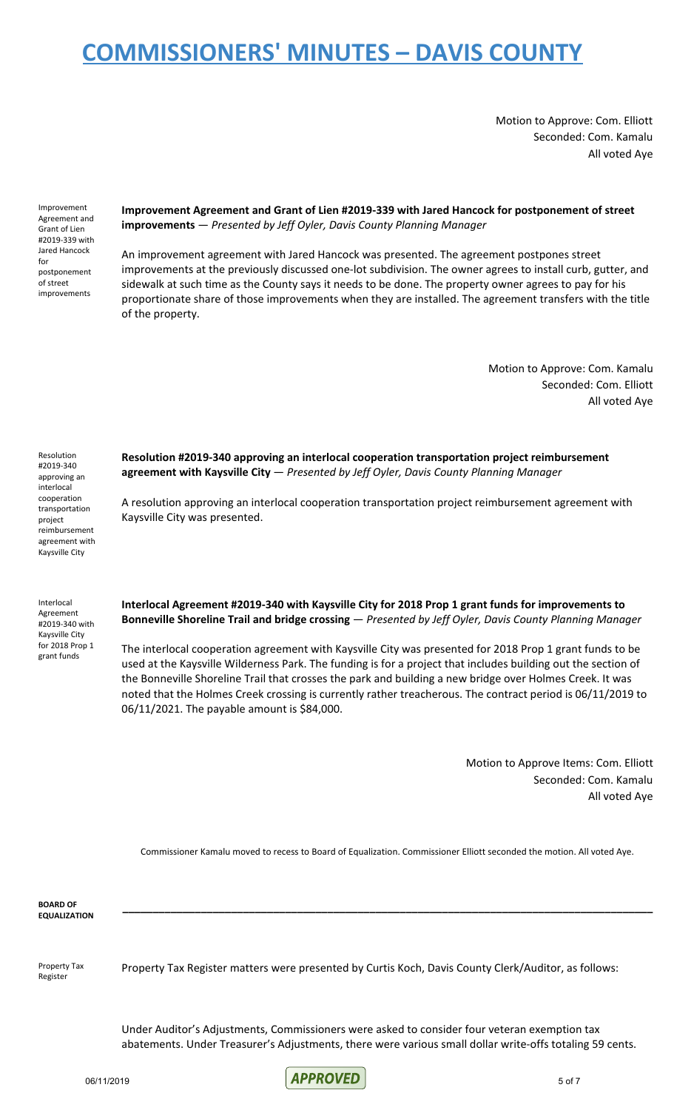Motion to Approve: Com. Elliott Seconded: Com. Kamalu All voted Aye

Improvement Agreement and Grant of Lien #2019-339 with Jared Hancock for postponement of street improvements

**Improvement Agreement and Grant of Lien #2019-339 with Jared Hancock for postponement of street improvements** — *Presented by Jeff Oyler, Davis County Planning Manager*

An improvement agreement with Jared Hancock was presented. The agreement postpones street improvements at the previously discussed one-lot subdivision. The owner agrees to install curb, gutter, and sidewalk at such time as the County says it needs to be done. The property owner agrees to pay for his proportionate share of those improvements when they are installed. The agreement transfers with the title of the property.

> Motion to Approve: Com. Kamalu Seconded: Com. Elliott All voted Aye

Resolution #2019-340 approving an interlocal cooperation transportation project reimbursement agreement with Kaysville City

Interlocal Agreement #2019-340 with Kaysville City for 2018 Prop 1 grant funds

**Resolution #2019-340 approving an interlocal cooperation transportation project reimbursement agreement with Kaysville City** — *Presented by Jeff Oyler, Davis County Planning Manager*

A resolution approving an interlocal cooperation transportation project reimbursement agreement with Kaysville City was presented.

**Interlocal Agreement #2019-340 with Kaysville City for 2018 Prop 1 grant funds for improvements to Bonneville Shoreline Trail and bridge crossing** — *Presented by Jeff Oyler, Davis County Planning Manager*

The interlocal cooperation agreement with Kaysville City was presented for 2018 Prop 1 grant funds to be used at the Kaysville Wilderness Park. The funding is for a project that includes building out the section of the Bonneville Shoreline Trail that crosses the park and building a new bridge over Holmes Creek. It was noted that the Holmes Creek crossing is currently rather treacherous. The contract period is 06/11/2019 to 06/11/2021. The payable amount is \$84,000.

> Motion to Approve Items: Com. Elliott Seconded: Com. Kamalu All voted Aye

Commissioner Kamalu moved to recess to Board of Equalization. Commissioner Elliott seconded the motion. All voted Aye.

**\_\_\_\_\_\_\_\_\_\_\_\_\_\_\_\_\_\_\_\_\_\_\_\_\_\_\_\_\_\_\_\_\_\_\_\_\_\_\_\_\_\_\_\_\_\_\_\_\_\_\_\_\_\_\_\_\_\_\_\_\_\_\_\_\_\_\_\_\_\_\_\_\_\_\_\_\_\_\_\_\_\_\_\_\_\_\_\_**

**BOARD OF EQUALIZATION**

Property Tax Register

Property Tax Register matters were presented by Curtis Koch, Davis County Clerk/Auditor, as follows:

Under Auditor's Adjustments, Commissioners were asked to consider four veteran exemption tax abatements. Under Treasurer's Adjustments, there were various small dollar write-offs totaling 59 cents.

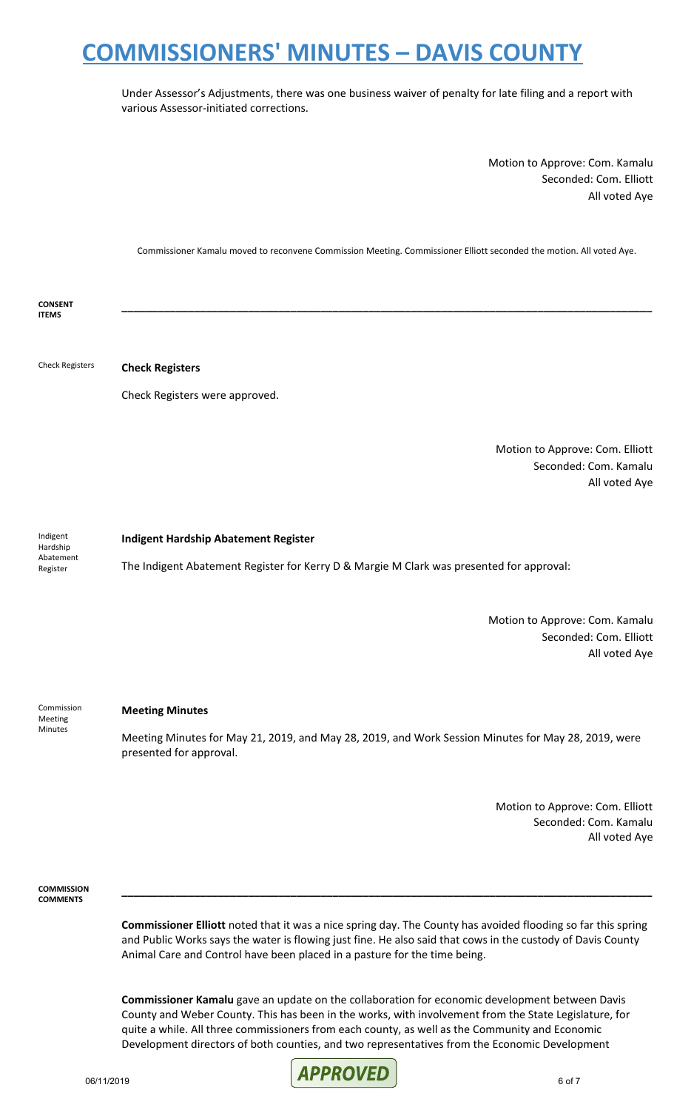Under Assessor's Adjustments, there was one business waiver of penalty for late filing and a report with various Assessor-initiated corrections.

> Motion to Approve: Com. Kamalu Seconded: Com. Elliott All voted Aye

Commissioner Kamalu moved to reconvene Commission Meeting. Commissioner Elliott seconded the motion. All voted Aye.

**\_\_\_\_\_\_\_\_\_\_\_\_\_\_\_\_\_\_\_\_\_\_\_\_\_\_\_\_\_\_\_\_\_\_\_\_\_\_\_\_\_\_\_\_\_\_\_\_\_\_\_\_\_\_\_\_\_\_\_\_\_\_\_\_\_\_\_\_\_\_\_\_\_\_\_\_\_\_\_\_\_\_\_\_\_\_\_\_**

**CONSENT ITEMS**

Check Registers **Check Registers**

Check Registers were approved.

Motion to Approve: Com. Elliott Seconded: Com. Kamalu All voted Aye

Indigent Hardship Abatement Register

#### **Indigent Hardship Abatement Register**

The Indigent Abatement Register for Kerry D & Margie M Clark was presented for approval:

Motion to Approve: Com. Kamalu Seconded: Com. Elliott All voted Aye

Commission Meeting Minutes

#### **Meeting Minutes**

Meeting Minutes for May 21, 2019, and May 28, 2019, and Work Session Minutes for May 28, 2019, were presented for approval.

> Motion to Approve: Com. Elliott Seconded: Com. Kamalu All voted Aye

**COMMISSION COMMENTS**

> **Commissioner Elliott** noted that it was a nice spring day. The County has avoided flooding so far this spring and Public Works says the water is flowing just fine. He also said that cows in the custody of Davis County Animal Care and Control have been placed in a pasture for the time being.

> **\_\_\_\_\_\_\_\_\_\_\_\_\_\_\_\_\_\_\_\_\_\_\_\_\_\_\_\_\_\_\_\_\_\_\_\_\_\_\_\_\_\_\_\_\_\_\_\_\_\_\_\_\_\_\_\_\_\_\_\_\_\_\_\_\_\_\_\_\_\_\_\_\_\_\_\_\_\_\_\_\_\_\_\_\_\_\_\_**

**Commissioner Kamalu** gave an update on the collaboration for economic development between Davis County and Weber County. This has been in the works, with involvement from the State Legislature, for quite a while. All three commissioners from each county, as well as the Community and Economic Development directors of both counties, and two representatives from the Economic Development